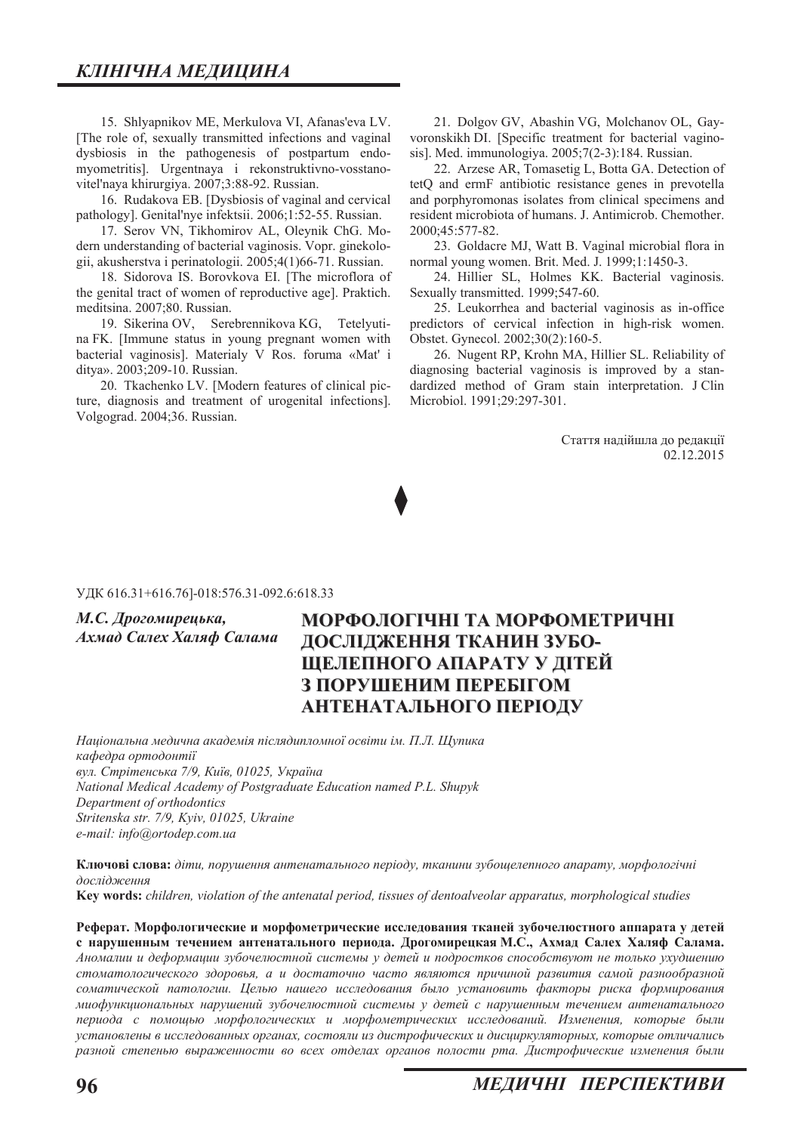15. Shlyapnikov ME, Merkulova VI, Afanas'eva LV. [The role of, sexually transmitted infections and vaginal dysbiosis in the pathogenesis of postpartum endomyometritis]. Urgentnaya i rekonstruktivno-vosstanovitel'naya khirurgiya. 2007;3:88-92. Russian.

16. Rudakova EB. [Dysbiosis of vaginal and cervical pathology]. Genital'nye infektsii. 2006;1:52-55. Russian.

17. Serov VN, Tikhomirov AL, Oleynik ChG. Modern understanding of bacterial vaginosis. Vopr. ginekologii, akusherstva i perinatologii. 2005;4(1)66-71. Russian.

18. Sidorova IS. Borovkova EI. [The microflora of the genital tract of women of reproductive age]. Praktich. meditsina. 2007;80. Russian.

19. Sikerina OV, Serebrennikova KG, Tetelyutina FK. [Immune status in young pregnant women with bacterial vaginosis]. Materialy V Ros. foruma «Mat' i ditya». 2003;209-10. Russian.

20. Tkachenko LV. [Modern features of clinical picture, diagnosis and treatment of urogenital infections]. Volgograd. 2004;36. Russian.

21. Dolgov GV, Abashin VG, Molchanov OL, Gayvoronskikh DI. [Specific treatment for bacterial vaginosis]. Med. immunologiya. 2005;7(2-3):184. Russian.

22. Arzese AR, Tomasetig L, Botta GA. Detection of tetQ and ermF antibiotic resistance genes in prevotella and porphyromonas isolates from clinical specimens and resident microbiota of humans. J. Antimicrob. Chemother. 2000:45:577-82.

23. Goldacre MJ, Watt B. Vaginal microbial flora in normal young women. Brit. Med. J. 1999;1:1450-3.

24. Hillier SL, Holmes KK. Bacterial vaginosis. Sexually transmitted. 1999;547-60.

25. Leukorrhea and bacterial vaginosis as in-office predictors of cervical infection in high-risk women. Obstet. Gynecol. 2002;30(2):160-5.

26. Nugent RP, Krohn MA, Hillier SL. Reliability of diagnosing bacterial vaginosis is improved by a standardized method of Gram stain interpretation. J Clin Microbiol. 1991;29:297-301.

> Стаття надійшла до редакції 02.12.2015

#### УДК 616.31+616.76]-018:576.31-092.6:618.33

 $M.C.$  Дрогомирецька,

 $A$ *x*мад Салех Халяф Салама

## **МОРФОЛОГІЧНІ ТА МОРФОМЕТРИЧНІ ЛОСЛІДЖЕННЯ ТКАНИН ЗУБО-ШЕЛЕПНОГО АПАРАТУ У ДІТЕЙ З ПОРУШЕНИМ ПЕРЕБІГОМ ЛАНТЕНАТАЛЬНОГО ПЕРІОДУ**

 $H$ аціональна медична академія післядипломної освіти ім. П.Л. Щупика *кафедра ортодонтії*  $g_{VJ}$ . Стрітенська 7/9, Київ, 01025, Україна *National Medical Academy of Postgraduate Education named P.L. Shupyk Department of orthodontics Strɿtenska str. 7/9, Kyiv, 01025, Ukraine e-mail: info@ortodep.com.ua* 

**Ключові слова:** діти, порушення антенатального періоду, тканини зубощелепного апарату, морфологічні дослідження

**.H\ZRUGV** *children, violation of the antenatal period, tissues of dentoalveolar apparatus, morphological studies* 

Реферат. Морфологические и морфометрические исследования тканей зубочелюстного аппарата у детей с нарушенным течением антенатального периода. Дрогомирецкая М.С., Ахмад Салех Халяф Салама.  $A$ номалии и деформации зубочелюстной системы у детей и подростков способствуют не только ухудшению  $c$ томатологического здоровья, а и достаточно часто являются причиной развития самой разнообразной  $c$ оматической патологии. Целью нашего исследования было установить факторы риска формирования  $Muo\phi$ WHKWOHAJЪHЫХ НАРУШЕНИЙ ЗУбОЧЕЛЮСТНОЙ СИСТЕМЫ У детей с нарушенным течением антенатального периода с помощью морфологических и морфометрических исследований. Изменения, которые были установлены в исследованных органах, состояли из дистрофических и дисциркуляторных, которые отличались разной степенью выраженности во всех отделах органов полости рта. Дистрофические изменения были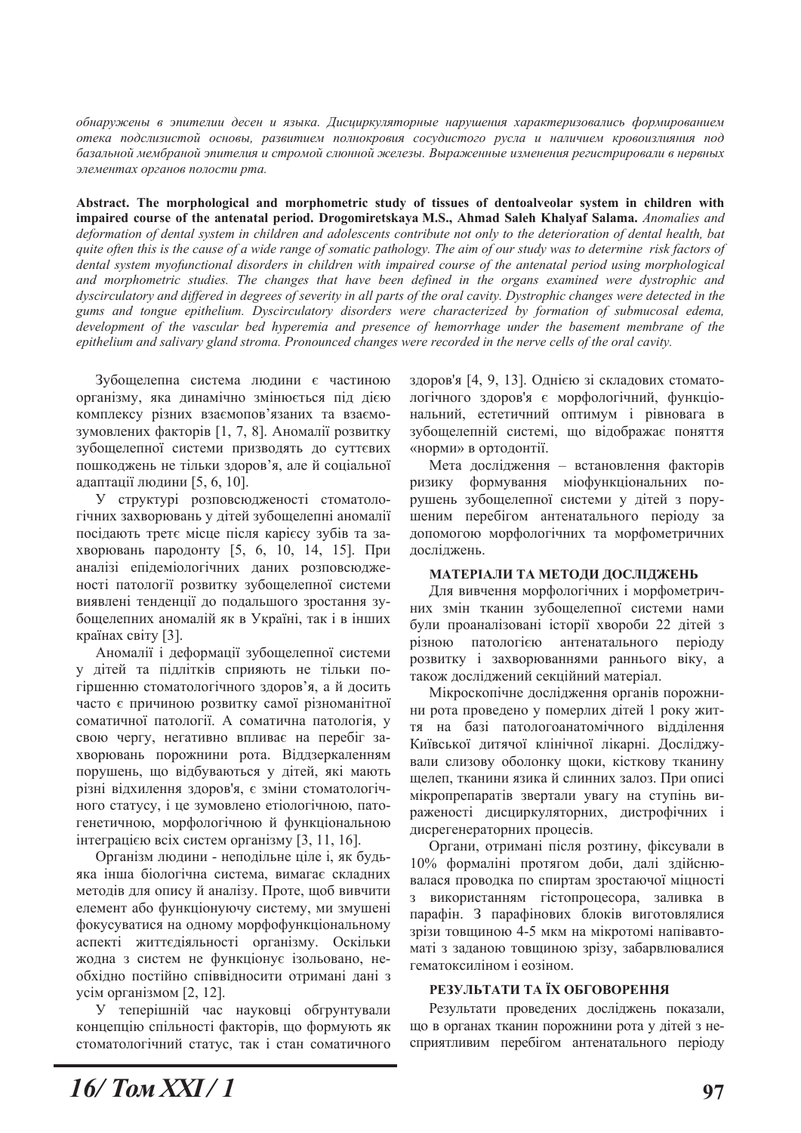$\delta$ бнаружены в эпителии десен и языка. Дисциркуляторные нарушения характеризовались формированием  $i$  *отека подслизистой основы, развитием полнокровия сосудистого русла и наличием кровоизлияния под* базальной мембраной эпителия и стромой слюнной железы. Выраженные изменения регистрировали в нервных элементах органов полости рта.

Abstract. The morphological and morphometric study of tissues of dentoalveolar system in children with **LEPT RIMGE BET AT STADDE STATE IS STATE OF STATE OF STATE IS STATE AT A STATE AT A STATE ANOMALIES and <b>STATE IS 2000 CODE** *deformation of dental system in children and adolescents contribute not only to the deterioration of dental health, bat quite often this is the cause of a wide range of somatic pathology. The aim of our study was to determine risk factors of dental system myofunctional disorders in children with impaired course of the antenatal period using morphological and morphometric studies. The changes that have been defined in the organs examined were dystrophic and dyscirculatory and differed in degrees of severity in all parts of the oral cavity. Dystrophic changes were detected in the gums and tongue epithelium. Dyscirculatory disorders were characterized by formation of submucosal edema, development of the vascular bed hyperemia and presence of hemorrhage under the basement membrane of the epithelium and salivary gland stroma. Pronounced changes were recorded in the nerve cells of the oral cavity.* 

Зубощелепна система людини є частиною організму, яка динамічно змінюється під дією комплексу різних взаємопов'язаних та взаємозумовлених факторів [1, 7, 8]. Аномалії розвитку зубощелепної системи призводять до суттєвих пошкоджень не тільки здоров'я, але й соціальної адаптації людини [5, 6, 10].

У структурі розповсюдженості стоматологічних захворювань у дітей зубощелепні аномалії посідають третє місце після карієсу зубів та захворювань пародонту [5, 6, 10, 14, 15]. При аналізі епідеміологічних даних розповсюдженості патології розвитку зубощелепної системи виявлені тенденції до подальшого зростання зубощелепних аномалій як в Україні, так і в інших країнах світу [3].

Аномалії і деформації зубощелепної системи у дітей та підлітків сприяють не тільки погіршенню стоматологічного здоров'я, а й досить часто є причиною розвитку самої різноманітної соматичної патології. А соматична патологія, у свою чергу, негативно впливає на перебіг захворювань порожнини рота. Віддзеркаленням порушень, що відбуваються у дітей, які мають різні відхилення здоров'я, є зміни стоматологічного статусу, і це зумовлено етіологічною, патогенетичною, морфологічною й функціональною інтеграцією всіх систем організму  $[3, 11, 16]$ .

Організм людини - неподільне ціле і, як будьяка інша біологічна система, вимагає складних методів для опису й аналізу. Проте, щоб вивчити елемент або функціонуючу систему, ми змушені фокусуватися на одному морфофункціональному аспекті життєдіяльності організму. Оскільки жодна з систем не функціонує ізольовано, необхідно постійно співвідносити отримані дані з усім організмом [2, 12].

У теперішній час науковці обгрунтували концепцію спільності факторів, що формують як стоматологічний статус, так і стан соматичного здоров'я [4, 9, 13]. Однією зі складових стоматологічного здоров'я є морфологічний, функціональний, естетичний оптимум і рівновага в зубощелепній системі, що відображає поняття «норми» в ортодонтії.

Мета дослідження - встановлення факторів ризику формування міофункціональних порушень зубощелепної системи у дітей з порушеним перебігом антенатального періоду за допомогою морфологічних та морфометричних досліджень.

#### МАТЕРІАЛИ ТА МЕТОДИ ДОСЛІДЖЕНЬ

Для вивчення морфологічних і морфометричних змін тканин зубощелепної системи нами були проаналізовані історії хвороби 22 дітей з різною патологією антенатального періоду розвитку і захворюваннями раннього віку, а також досліджений секційний матеріал.

Мікроскопічне дослідження органів порожнини рота проведено у померлих дітей 1 року життя на базі патологоанатомічного відділення Київської литячої клінічної лікарні. Лослілжували слизову оболонку щоки, кісткову тканину щелеп, тканини язика й слинних залоз. При описі мікропрепаратів звертали увагу на ступінь вираженості дисциркуляторних, дистрофічних і дисрегенераторних процесів.

Органи, отримані після розтину, фіксували в 10% формаліні протягом доби, далі здійснювалася проводка по спиртам зростаючої міцності з використанням гістопроцесора, заливка в парафін. З парафінових блоків виготовлялися зрізи товщиною 4-5 мкм на мікротомі напівавтоматі з заданою товщиною зрізу, забарвлювалися гематоксиліном і еозіном.

#### РЕЗУЛЬТАТИ ТА ЇХ ОБГОВОРЕННЯ

Результати проведених досліджень показали, що в органах тканин порожнини рота у дітей з несприятливим перебігом антенатального періоду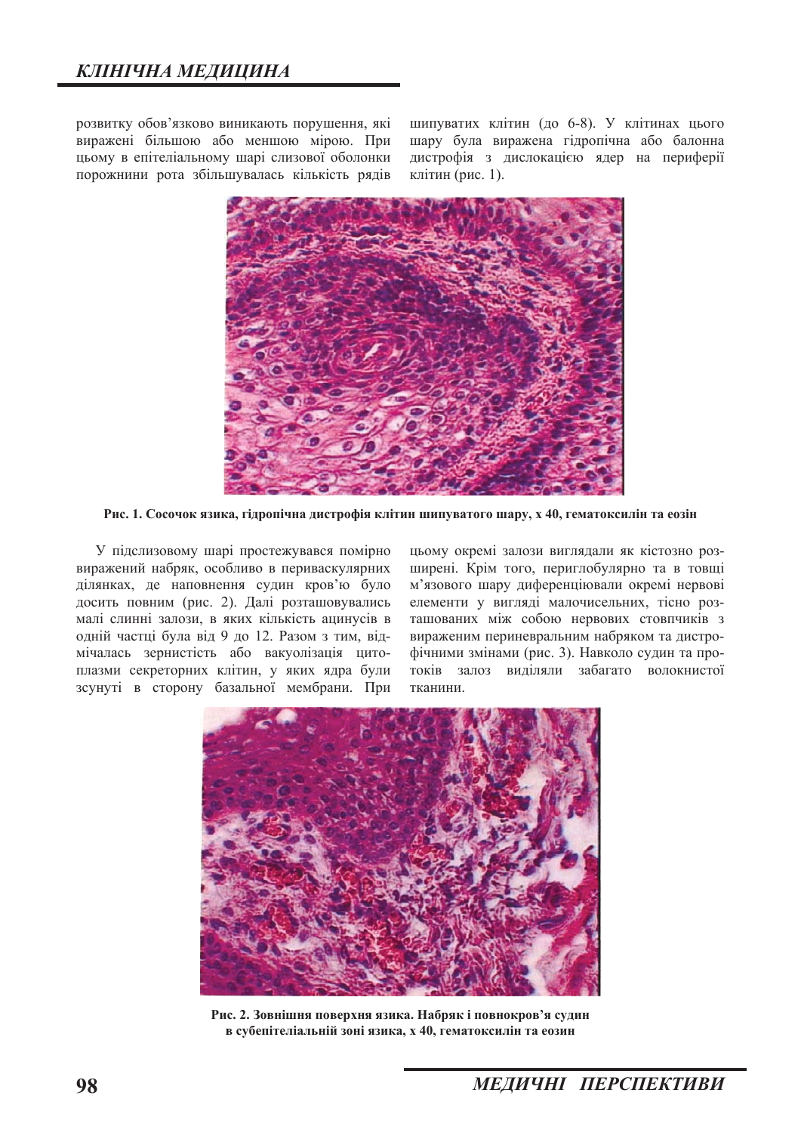розвитку обов'язково виникають порушення, які виражені більшою або меншою мірою. При цьому в епітеліальному шарі слизової оболонки порожнини рота збільшувалась кількість рядів

шипуватих клітин (до 6-8). У клітинах цього шару була виражена гідропічна або балонна дистрофія з дислокацією ядер на периферії клітин (рис. 1).



Рис. 1. Сосочок язика, гідропічна дистрофія клітин шипуватого шару, х 40, гематоксилін та еозін

У підслизовому шарі простежувався помірно виражений набряк, особливо в периваскулярних ділянках, де наповнення судин кров'ю було досить повним (рис. 2). Далі розташовувались малі слинні залози, в яких кількість ацинусів в одній частці була від 9 до 12. Разом з тим, відмічалась зернистість або вакуолізація цитоплазми секреторних клітин, у яких ядра були зсунуті в сторону базальної мембрани. При

цьому окремі залози виглядали як кістозно розширені. Крім того, периглобулярно та в товщі м'язового шару диференціювали окремі нервові елементи у вигляді малочисельних, тісно розташованих між собою нервових стовпчиків з вираженим периневральним набряком та дистрофічними змінами (рис. 3). Навколо судин та протоків залоз виділяли забагато волокнистої тканини.



Рис. 2. Зовнішня поверхня язика. Набряк і повнокров'я судин **в субепітеліальній зоні язика, х 40, гематоксилін та еозин**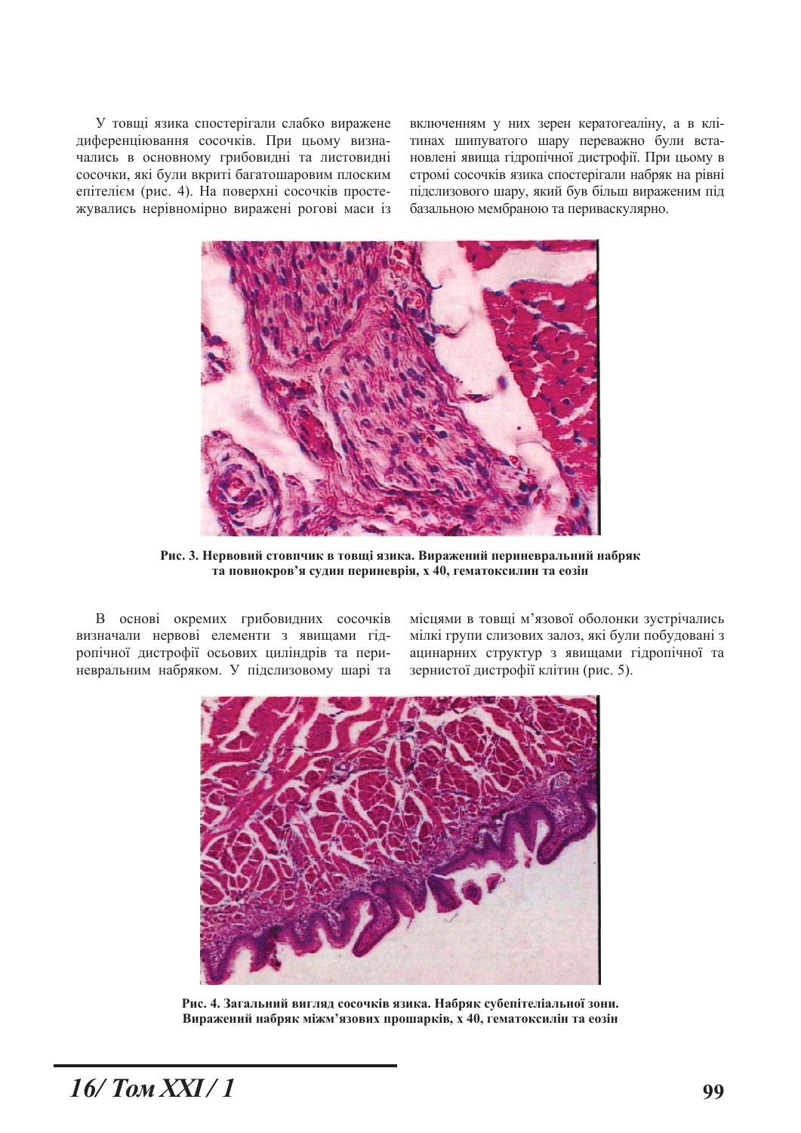У товщі язика спостерігали слабко виражене диференціювання сосочків. При цьому визначались в основному грибовидні та листовидні сосочки, які були вкриті багатошаровим плоским епітелієм (рис. 4). На поверхні сосочків простежувались нерівномірно виражені рогові маси із включенням у них зерен кератогеаліну, а в клітинах шипуватого шару переважно були встановлені явища гідропічної дистрофії. При цьому в стромі сосочків язика спостерігали набряк на рівні підслизового шару, який був більш вираженим під базальною мембраною та периваскулярно.



Рис. 3. Нервовий стовпчик в товщі язика. Виражений периневральний набряк та повнокров'я судин периневрія, х 40, гематоксилин та еозін

В основі окремих грибовидних сосочків визначали нервові елементи з явищами гідропічної дистрофії осьових циліндрів та периневральним набряком. У підслизовому шарі та

місцями в товщі м'язової оболонки зустрічались мілкі групи слизових залоз, які були побудовані з ацинарних структур з явищами гідропічної та зернистої дистрофії клітин (рис. 5).



Рис. 4. Загальний вигляд сосочків язика. Набряк субепітеліальної зони. Виражений набряк міжм'язових прошарків, х 40, гематоксилін та еозін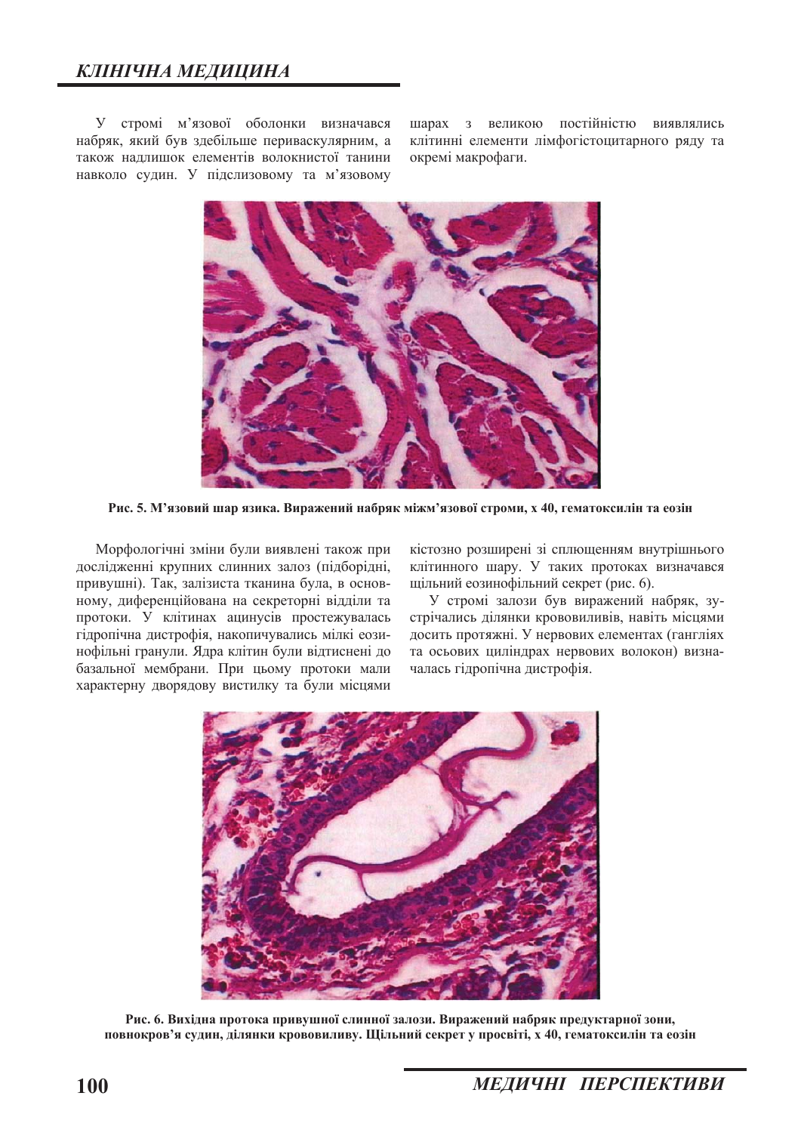У стромі м'язової оболонки визначався набряк, який був здебільше периваскулярним, а також надлишок елементів волокнистої танини навколо судин. У підслизовому та м'язовому

шарах з великою постійністю виявлялись клітинні елементи лімфогістоцитарного ряду та окремі макрофаги.



Рис. 5. М'язовий шар язика. Виражений набряк міжм'язової строми, х 40, гематоксилін та еозін

Морфологічні зміни були виявлені також при дослідженні крупних слинних залоз (підборідні, привушні). Так, залізиста тканина була, в основному, диференційована на секреторні відділи та протоки. У клітинах ацинусів простежувалась гідропічна дистрофія, накопичувались мілкі еозинофільні гранули. Ядра клітин були відтиснені до базальної мембрани. При цьому протоки мали характерну дворядову вистилку та були місцями кістозно розширені зі сплющенням внутрішнього клітинного шару. У таких протоках визначався щільний еозинофільний секрет (рис. 6).

У стромі залози був виражений набряк, зустрічались ділянки крововиливів, навіть місцями досить протяжні. У нервових елементах (гангліях та осьових циліндрах нервових волокон) визначалась гідропічна дистрофія.



Рис. 6. Вихідна протока привушної слинної залози. Виражений набряк предуктарної зони, повнокров'я судин, ділянки крововиливу. Щільний секрет у просвіті, х 40, гематоксилін та еозін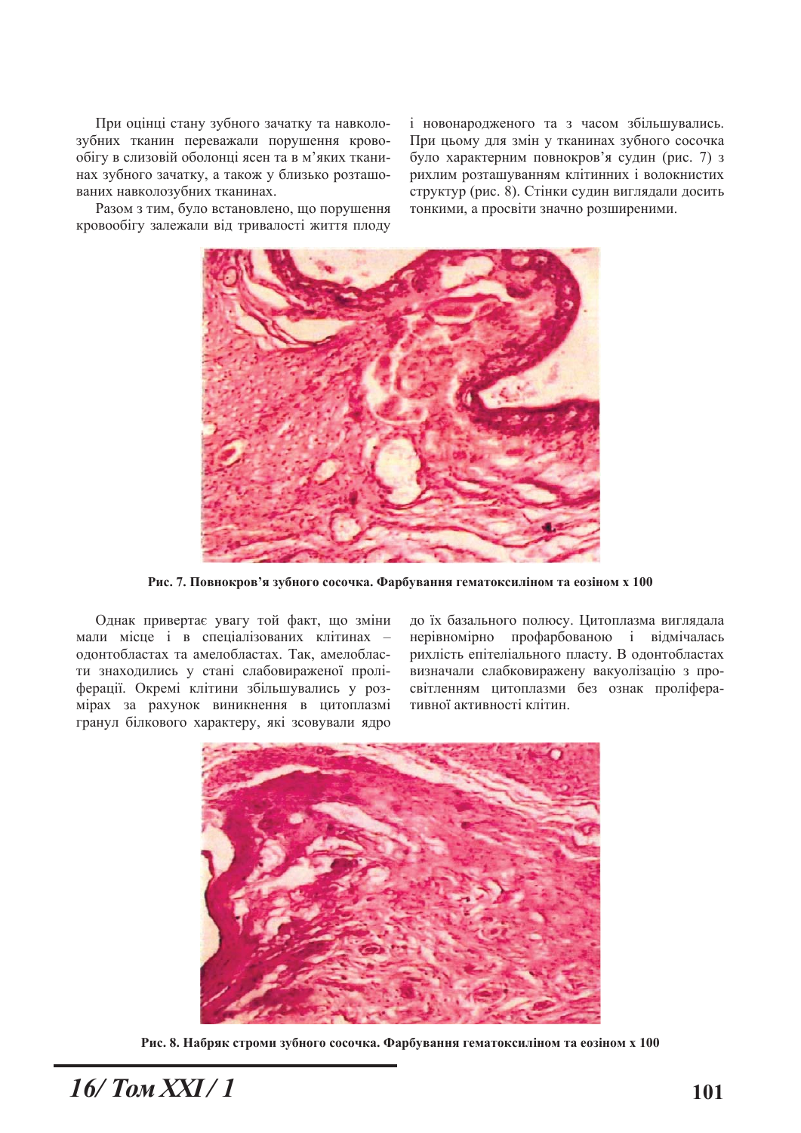При оцінці стану зубного зачатку та навколозубних тканин переважали порушення кровообігу в слизовій оболонці ясен та в м'яких тканинах зубного зачатку, а також у близько розташованих навколозубних тканинах.

Разом з тим, було встановлено, що порушення кровообігу залежали від тривалості життя плоду

і новонародженого та з часом збільшувались. При цьому для змін у тканинах зубного сосочка було характерним повнокров'я судин (рис. 7) з рихлим розташуванням клітинних і волокнистих структур (рис. 8). Стінки судин виглядали досить тонкими, а просвіти значно розширеними.



Рис. 7. Повнокров'я зубного сосочка. Фарбування гематоксиліном та еозіном х 100

Однак привертає увагу той факт, що зміни мали місце і в спеціалізованих клітинах одонтобластах та амелобластах. Так, амелобласти знаходились у стані слабовираженої проліферації. Окремі клітини збільшувались у розмірах за рахунок виникнення в цитоплазмі гранул білкового характеру, які зсовували ядро до їх базального полюсу. Цитоплазма виглядала нерівномірно профарбованою і відмічалась рихлість епітеліального пласту. В одонтобластах визначали слабковиражену вакуолізацію з просвітленням цитоплазми без ознак проліферативної активності клітин.



Рис. 8. Набряк строми зубного сосочка. Фарбування гематоксиліном та еозіном х 100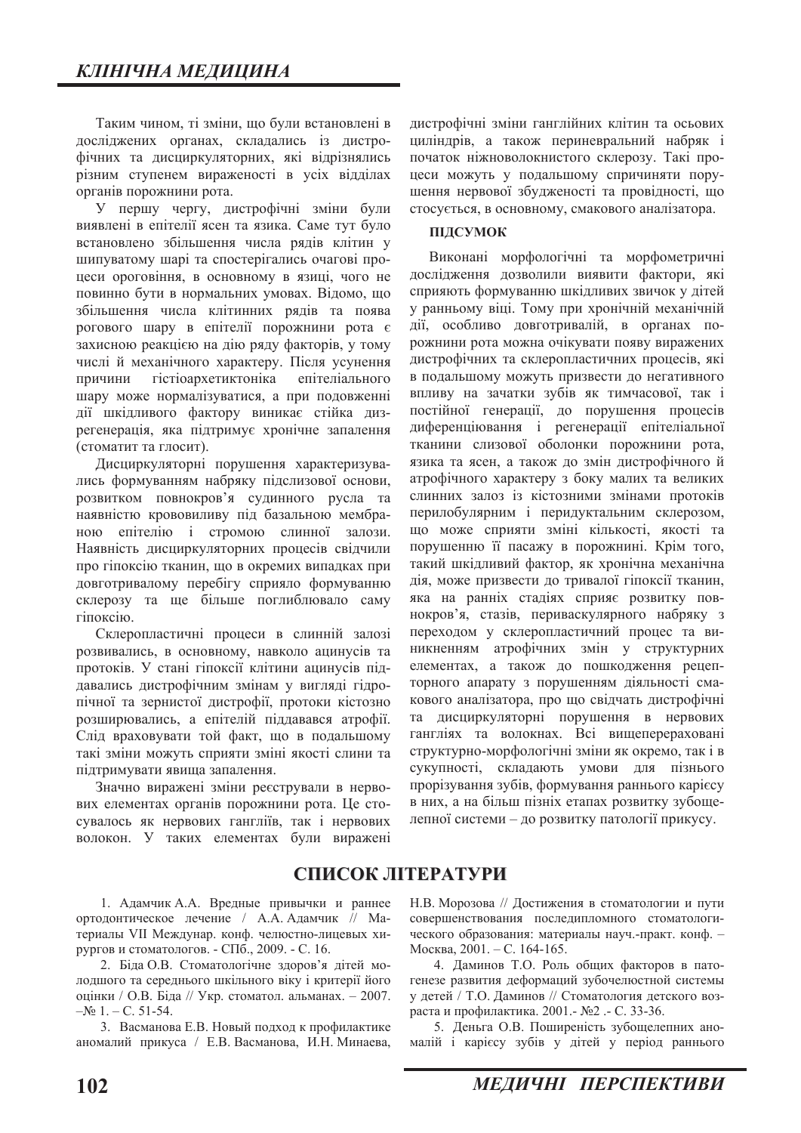Таким чином, ті зміни, що були встановлені в досліджених органах, складались із дистрофічних та дисциркуляторних, які відрізнялись різним ступенем вираженості в усіх відділах органів порожнини рота.

У першу чергу, дистрофічні зміни були виявлені в епітелії ясен та язика. Саме тут було встановлено збільшення числа рядів клітин у шипуватому шарі та спостерігались очагові процеси ороговіння, в основному в язиці, чого не повинно бути в нормальних умовах. Відомо, що збільшення числа клітинних рядів та поява рогового шару в епітелії порожнини рота є захисною реакцією на дію ряду факторів, у тому числі й механічного характеру. Після усунення причини гістіоархетиктоніка епітеліального шару може нормалізуватися, а при подовженні дії шкідливого фактору виникає стійка дизрегенерація, яка підтримує хронічне запалення (стоматит та глосит).

Дисциркуляторні порушення характеризувались формуванням набряку підслизової основи, розвитком повнокров'я судинного русла та наявністю крововиливу під базальною мембраною епітелію і стромою слинної залози. Наявність дисциркуляторних процесів свідчили про гіпоксію тканин, що в окремих випадках при довготривалому перебігу сприяло формуванню склерозу та ше більше поглиблювало саму riποκείω.

Склеропластичні процеси в слинній залозі розвивались, в основному, навколо ацинусів та протоків. У стані гіпоксії клітини ацинусів піддавались дистрофічним змінам у вигляді гідропічної та зернистої дистрофії, протоки кістозно розширювались, а епітелій піддавався атрофії. Слід враховувати той факт, що в подальшому такі зміни можуть сприяти зміні якості слини та підтримувати явища запалення.

Значно виражені зміни реєстрували в нервових елементах органів порожнини рота. Це стосувалось як нервових гангліїв, так і нервових волокон. У таких елементах були виражені

дистрофічні зміни ганглійних клітин та осьових циліндрів, а також периневральний набряк і початок ніжноволокнистого склерозу. Такі процеси можуть у подальшому спричиняти порушення нервової збудженості та провідності, що стосується, в основному, смакового аналізатора.

#### **ПІЛСУМОК**

Виконані морфологічні та морфометричні дослілження дозволили виявити фактори, які сприяють формуванню шкілливих звичок у літей у ранньому віці. Тому при хронічній механічній дії, особливо довготривалій, в органах порожнини рота можна очікувати появу виражених дистрофічних та склеропластичних процесів, які в подальшому можуть призвести до негативного впливу на зачатки зубів як тимчасової, так і постійної генерації, до порушення процесів диференціювання і регенерації епітеліальної тканини слизової оболонки порожнини рота, язика та ясен, а також до змін дистрофічного й атрофічного характеру з боку малих та великих слинних залоз із кістозними змінами протоків перилобулярним і перидуктальним склерозом, що може сприяти зміні кількості, якості та порушенню її пасажу в порожнині. Крім того, такий шкідливий фактор, як хронічна механічна дія, може призвести до тривалої гіпоксії тканин, яка на ранніх стадіях сприяє розвитку повнокров'я, стазів, периваскулярного набряку з переходом у склеропластичний процес та виникненням атрофічних змін у структурних елементах, а також до пошкодження рецепторного апарату з порушенням діяльності смакового аналізатора, про що свідчать дистрофічні та дисциркуляторні порушення в нервових гангліях та волокнах. Всі вищеперераховані структурно-морфологічні зміни як окремо, так і в сукупності, складають умови для пізнього прорізування зубів, формування раннього карієсу в них, а на більш пізніх етапах розвитку зубощелепної системи - до розвитку патології прикусу.

## СПИСОК ЛІТЕРАТУРИ

1. Адамчик А.А. Вредные привычки и раннее ортодонтическое лечение / А.А. Адамчик // Материалы VII Междунар. конф. челюстно-лицевых хирургов и стоматологов. - СПб., 2009. - С. 16.

2. Біда О.В. Стоматологічне здоров'я дітей молодшого та середнього шкільного віку і критерії його оцінки / О.В. Біла // Укр. стоматол. альманах.  $-2007$ .  $-\text{Ne } 1. - \text{C}$ . 51-54.

3. Васманова Е.В. Новый подход к профилактике аномалий прикуса / Е.В. Васманова, И.Н. Минаева, Н.В. Морозова // Достижения в стоматологии и пути совершенствования последипломного стоматологического образования: материалы науч.-практ. конф. -Москва, 2001. - С. 164-165.

4. Даминов Т.О. Роль общих факторов в патогенезе развития деформаций зубочелюстной системы у детей / Т.О. Даминов // Стоматология детского возраста и профилактика. 2001. - №2. - С. 33-36.

5. Деньга О.В. Поширеність зубощелепних аномалій і карієсу зубів у дітей у період раннього